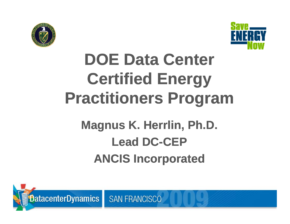



# DOE Data Center **Certified Energy** estitionare Dro **Certified Energy Practitioners Program**  $\frac{1}{2}$

#### **Magnus K. Herrlin, Ph.D.**<br> **Lead BC GEB** Lead DC -CEP **s K. Herrlin, Ph.D. Lead DC DC-CEP** ANCIS Incorporate **ANCIS Incorporated**



**SAN FRANCISCO**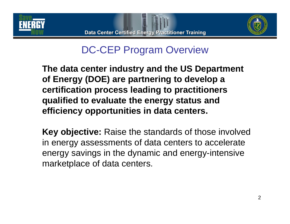



## DC-CEP Program Overview

**The data center industry and the US Department of Energy (DOE) are partnering to develop a certification process leading to practitioners**  qualified to evaluate the energy status and **efficiency opportunities in data centers.**

**Key objective:** Raise the standards of those involved in energy assessments of data centers to accelerate energy savings in the dynamic and energy-intensive marketplace of data centers.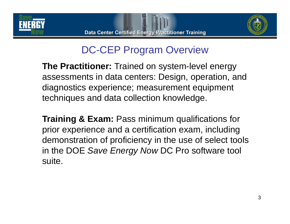



# DC-CEP Program Overview

**The Practitioner:** Trained on system-level energy assessments in data centers: Design, operation, and diagnostics experience; measurement equipment techniques and data collection knowledge.

**Training & Exam:** Pass minimum qualifications for prior experience and a certification exam, including demonstration of proficiency in the use of select tools in the DOE *Save Energy Now* DC Pro software tool suite.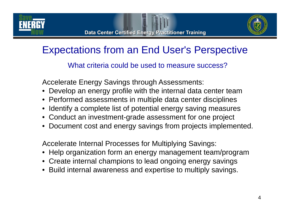





# Expectations from an End User's Perspective

What criteria could be used to measure success?

Accelerate Energy Savings through Assessments:

- Develop an energy profile with the internal data center team
- $\bullet\,$  Performed assessments in multiple data center disciplines
- Identify a complete list of potential energy saving measures
- Conduct an investment-grade assessment for one project
- Document cost and energy savings from projects implemented.

Accelerate Internal Processes for Multiplying Savings:

- $\bullet\,$  Help organization form an energy management team/program
- Create internal champions to lead ongoing energy savings
- Build internal awareness and expertise to multiply savings.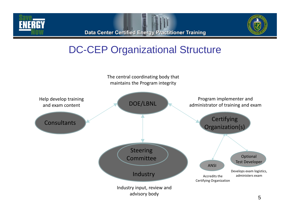



### DC-CEP Organizational Structure

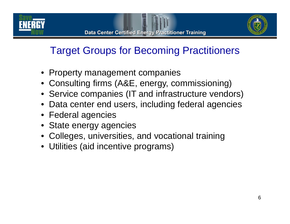



# Target Groups for Becoming Practitioners

- Property management companies
- Consulting firms (A&E, energy, commissioning)
- Service companies (IT and infrastructure vendors)
- Data center end users, including federal agencies
- Federal agencies
- State energy agencies
- Colleges, universities, and vocational training
- Utilities (aid incentive programs)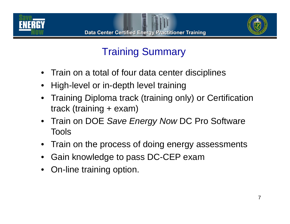





# Training Summary

- Train on a total of four data center disciplines
- •High-level or in-depth level training
- • Training Diploma track (training only) or Certification track (training + exam)
- Train on DOE *Save Energy Now* DC Pro Software Tools
- Train on the process of doing energy assessments
- • $\bullet~$  Gain knowledge to pass DC-CEP exam
- On-line training option.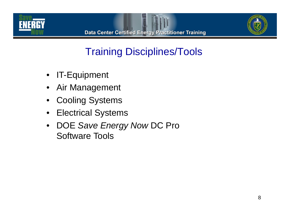



## Training Disciplines/Tools

- $\bullet$ IT-Equipment
- •Air Management
- •• Cooling Systems
- $\bullet$ Electrical Systems
- $\bullet$  DOE *Save Energy Now* DC Pro Software Tools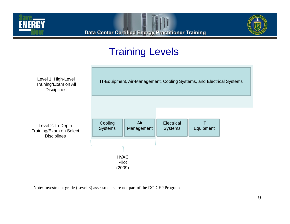



## Training Levels



Note: Investment grade (Level 3) assessments are not part of the DC-CEP Program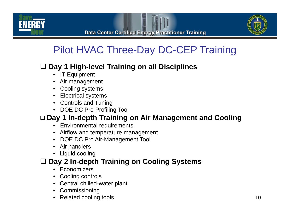



# Pilot HVAC Three-Day DC-CEP Training

#### **Day 1 High-level Training on all Disciplines y g g p**

- IT Equipment
- Air management
- Cooling systems
- Electrical systems
- Controls and Tuning
- DOE DC Pro Profiling Tool

#### **Day 1 In-depth Training on Air Management and Cooling**

- Environmental requirements
- Airflow and temperature management
- DOE DC Pro Air-Management Tool
- Air handlers
- Liquid cooling

#### **Day 2 In-depth Training on Cooling Systems**

- Economizers
- Cooling controls
- Central chilled-water plant
- Commissioning
- Related cooling tools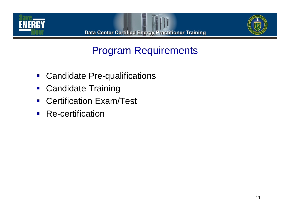



## Program Requirements

- $\blacksquare$ Candidate Pre-qualifications
- Candidate Training
- $\blacksquare$ • Certification Exam/Test
- $\mathcal{L}_{\mathcal{A}}$ **Re-certification**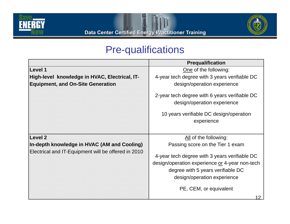



### Pre-qualifications

|                                                     | <b>Prequalification</b>                                                                                                                                                                       |  |
|-----------------------------------------------------|-----------------------------------------------------------------------------------------------------------------------------------------------------------------------------------------------|--|
| Level 1                                             | One of the following:                                                                                                                                                                         |  |
| High-level knowledge in HVAC, Electrical, IT-       | 4-year tech degree with 3 years verifiable DC                                                                                                                                                 |  |
| <b>Equipment, and On-Site Generation</b>            | design/operation experience                                                                                                                                                                   |  |
|                                                     | 2-year tech degree with 6 years verifiable DC<br>design/operation experience<br>10 years verifiable DC design/operation<br>experience                                                         |  |
| Level 2                                             | All of the following:                                                                                                                                                                         |  |
| In-depth knowledge in HVAC (AM and Cooling)         | Passing score on the Tier 1 exam                                                                                                                                                              |  |
| Electrical and IT-Equipment will be offered in 2010 | 4-year tech degree with 3 years verifiable DC<br>design/operation experience or 4-year non-tech<br>degree with 5 years verifiable DC<br>design/operation experience<br>PE, CEM, or equivalent |  |
|                                                     | 12                                                                                                                                                                                            |  |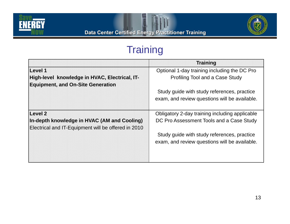



## **Training**

|                                                     | <b>Training</b>                                |  |  |
|-----------------------------------------------------|------------------------------------------------|--|--|
| Level 1                                             | Optional 1-day training including the DC Pro   |  |  |
| High-level knowledge in HVAC, Electrical, IT-       | Profiling Tool and a Case Study                |  |  |
| <b>Equipment, and On-Site Generation</b>            |                                                |  |  |
|                                                     | Study guide with study references, practice    |  |  |
|                                                     | exam, and review questions will be available.  |  |  |
|                                                     |                                                |  |  |
| Level 2                                             | Obligatory 2-day training including applicable |  |  |
| In-depth knowledge in HVAC (AM and Cooling)         | DC Pro Assessment Tools and a Case Study       |  |  |
| Electrical and IT-Equipment will be offered in 2010 |                                                |  |  |
|                                                     | Study guide with study references, practice    |  |  |
|                                                     | exam, and review questions will be available.  |  |  |
|                                                     |                                                |  |  |
|                                                     |                                                |  |  |
|                                                     |                                                |  |  |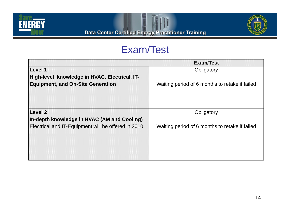



### Exam/Test

|                                                     | <b>Exam/Test</b>                               |  |
|-----------------------------------------------------|------------------------------------------------|--|
| Level 1                                             | Obligatory                                     |  |
| High-level knowledge in HVAC, Electrical, IT-       |                                                |  |
| <b>Equipment, and On-Site Generation</b>            | Waiting period of 6 months to retake if failed |  |
|                                                     |                                                |  |
|                                                     |                                                |  |
|                                                     |                                                |  |
| <b>Level 2</b>                                      | Obligatory                                     |  |
| In-depth knowledge in HVAC (AM and Cooling)         |                                                |  |
| Electrical and IT-Equipment will be offered in 2010 | Waiting period of 6 months to retake if failed |  |
|                                                     |                                                |  |
|                                                     |                                                |  |
|                                                     |                                                |  |
|                                                     |                                                |  |
|                                                     |                                                |  |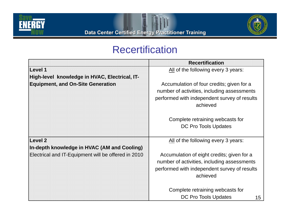



### Recertification

|                                                     | <b>Recertification</b>                                                                                                                                |  |
|-----------------------------------------------------|-------------------------------------------------------------------------------------------------------------------------------------------------------|--|
| Level 1                                             | All of the following every 3 years:                                                                                                                   |  |
| High-level knowledge in HVAC, Electrical, IT-       |                                                                                                                                                       |  |
| <b>Equipment, and On-Site Generation</b>            | Accumulation of four credits; given for a<br>number of activities, including assessments<br>performed with independent survey of results<br>achieved  |  |
|                                                     | Complete retraining webcasts for                                                                                                                      |  |
|                                                     | DC Pro Tools Updates                                                                                                                                  |  |
| Level 2                                             | All of the following every 3 years:                                                                                                                   |  |
| In-depth knowledge in HVAC (AM and Cooling)         |                                                                                                                                                       |  |
| Electrical and IT-Equipment will be offered in 2010 | Accumulation of eight credits; given for a<br>number of activities, including assessments<br>performed with independent survey of results<br>achieved |  |
|                                                     | Complete retraining webcasts for                                                                                                                      |  |
|                                                     | <b>DC Pro Tools Updates</b><br>15                                                                                                                     |  |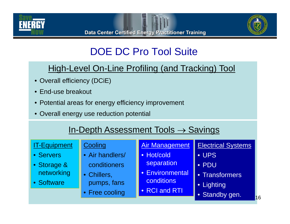



# DOE DC Pro Tool Suite

#### High-Level On-Line Profiling (and Tracking) Tool

- Overall efficiency (DCiE)
- End-use breakout
- Potential areas for energy efficiency improvement
- Overall energy use reduction potential

### In-Depth Assessment Tools  $\rightarrow$  Savings

| <b>IT-Equipment</b><br>• Servers<br>• Storage &<br>networking<br>• Software | Cooling<br>• Air handlers/<br>conditioners<br>• Chillers,<br>pumps, fans<br>• Free cooling | <b>Air Management</b><br>• Hot/cold<br>separation<br>• Environmental<br>conditions<br>• RCI and RTI | <b>Electrical Systems</b><br>• UPS<br>• PDU<br>• Transformers<br>• Lighting<br>• Standby gen. |
|-----------------------------------------------------------------------------|--------------------------------------------------------------------------------------------|-----------------------------------------------------------------------------------------------------|-----------------------------------------------------------------------------------------------|
|-----------------------------------------------------------------------------|--------------------------------------------------------------------------------------------|-----------------------------------------------------------------------------------------------------|-----------------------------------------------------------------------------------------------|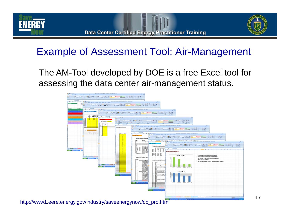





## Example of Assessment Tool: Air-Management

The AM-Tool developed by DOE is a free Excel tool for assessing the data center air-management status.



http://www1.eere.energy.gov/industry/saveenergynow/dc\_pro.html

17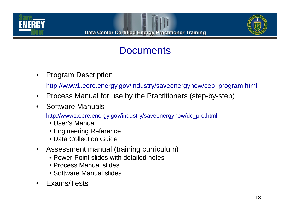





### **Documents**

•Program Description

http://www1.eere.energy.gov/industry/saveenergynow/cep\_program.html

- $\bullet$ Process Manual for use by the Practitioners (step-by-step)
- $\bullet$ Software Manuals

http://www1.eere.energy.gov/industry/saveenergynow/dc\_pro.html

- User's Manual
- Engineering Reference
- Data Collection Guide
- • Assessment manual (training curriculum)
	- Power-Point slides with detailed notes
	- Process Manual slides
	- Software Manual slides
- Exams/Tests•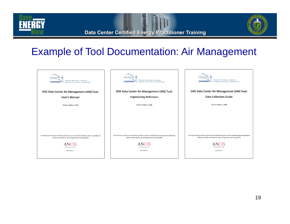**ENERGY** 



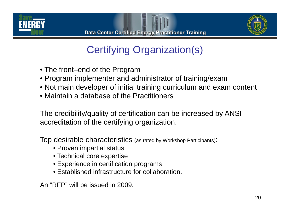



# Certifying Organization(s)

- $\bullet$  The front–end of the Program
- Program implementer and administrator of training/exam
- Not main developer of initial training curriculum and exam content
- Maintain a database of the Practitioners

The credibility/quality of certification can be increased by ANSI accreditation of the certifying organization.

Top desirable characteristics (as rated by Workshop Participants):

- Proven impartial status
- $\bullet$  Technical core expertise
- Experience in certification programs
- Established infrastructure for collaboration.

An "RFP" will be issued in 2009.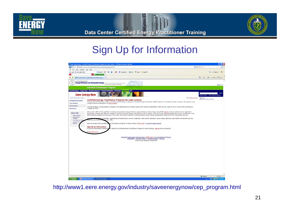



### Sign Up for Information



http://www1.eere.energy.gov/industry/saveenergynow/cep\_program.html